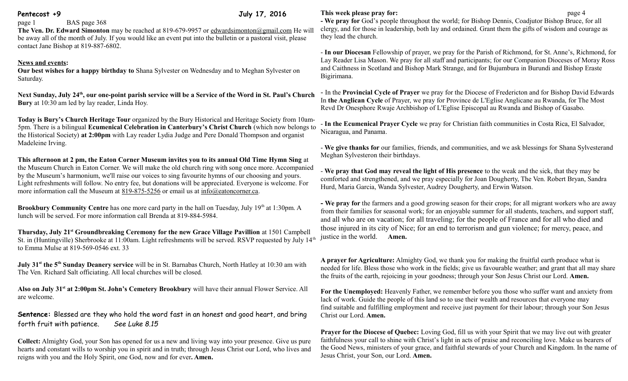## **Pentecost +9 July 17, 2016**

page 1 BAS page 368

**The Ven. Dr. Edward Simonton** may be reached at 819-679-9957 or [edwardsimonton@gmail.com](mailto:edwardsimonton@gmail.com) He will be away all of the month of July. If you would like an event put into the bulletin or a pastoral visit, please contact Jane Bishop at 819-887-6802.

# **News and events:**

**Our best wishes for a happy birthday to** Shana Sylvester on Wednesday and to Meghan Sylvester on Saturday.

**Next Sunday, July 24th , our one-point parish service will be a Service of the Word in St. Paul's Church Bury** at 10:30 am led by lay reader, Linda Hoy.

**Today is Bury's Church Heritage Tour** organized by the Bury Historical and Heritage Society from 10am-5pm. There is a bilingual **Ecumenical Celebration in Canterbury's Christ Church** (which now belongs to the Historical Society) **at 2:00pm** with Lay reader Lydia Judge and Pere Donald Thompson and organist Madeleine Irving.

**This afternoon at 2 pm, the Eaton Corner Museum invites you to its annual Old Time Hymn Sing** at the Museum Church in Eaton Corner. We will make the old church ring with song once more. Accompanied by the Museum's harmonium, we'll raise our voices to sing favourite hymns of our choosing and yours. Light refreshments will follow. No entry fee, but donations will be appreciated. Everyone is welcome. For more information call the Museum at [819-875-5256](tel:819-875-5256) or email us at [info@eatoncorner.ca.](mailto:info@eatoncorner.ca)

Brookbury Community Centre has one more card party in the hall on Tuesday, July 19<sup>th</sup> at 1:30pm. A lunch will be served. For more information call Brenda at 819-884-5984.

**Thursday, July 21st Groundbreaking Ceremony for the new Grace Village Pavillion** at 1501 Campbell St. in (Huntingville) Sherbrooke at 11:00am. Light refreshments will be served. RSVP requested by July 14<sup>th</sup> to Emma Mulse at 819-569-0546 ext. 33

**July 31st the 5th Sunday Deanery service** will be in St. Barnabas Church, North Hatley at 10:30 am with The Ven. Richard Salt officiating. All local churches will be closed.

**Also on July 31st at 2:00pm St. John's Cemetery Brookbury** will have their annual Flower Service. All are welcome.

**Sentence:** Blessed are they who hold the word fast in an honest and good heart, and bring forth fruit with patience. *See Luke 8.15*

**Collect:** Almighty God, your Son has opened for us a new and living way into your presence. Give us pure hearts and constant wills to worship you in spirit and in truth; through Jesus Christ our Lord, who lives and reigns with you and the Holy Spirit, one God, now and for ever**. Amen.**

## **This week please pray for: page 4**

**- We pray for** God's people throughout the world; for Bishop Dennis, Coadjutor Bishop Bruce, for all clergy, and for those in leadership, both lay and ordained. Grant them the gifts of wisdom and courage as they lead the church.

- **In our Diocesan** Fellowship of prayer, we pray for the Parish of Richmond, for St. Anne's, Richmond, for Lay Reader Lisa Mason. We pray for all staff and participants; for our Companion Dioceses of Moray Ross and Caithness in Scotland and Bishop Mark Strange, and for Bujumbura in Burundi and Bishop Eraste Bigirimana.

- In the **Provincial Cycle of Prayer** we pray for the Diocese of Fredericton and for Bishop David Edwards In **the Anglican Cycle** of Prayer, we pray for Province de L'Eglise Anglicane au Rwanda, for The Most Revd Dr Onesphore Rwaje Archbishop of L'Eglise Episcopal au Rwanda and Bishop of Gasabo.

- **In the Ecumenical Prayer Cycle** we pray for Christian faith communities in Costa Rica, El Salvador, Nicaragua, and Panama.

- **We give thanks for** our families, friends, and communities, and we ask blessings for Shana Sylvesterand Meghan Sylvesteron their birthdays.

- **We pray that God may reveal the light of His presence** to the weak and the sick, that they may be comforted and strengthened, and we pray especially for Joan Dougherty, The Ven. Robert Bryan, Sandra Hurd, Maria Garcia, Wanda Sylvester, Audrey Dougherty, and Erwin Watson.

**- We pray for** the farmers and a good growing season for their crops; for all migrant workers who are away from their families for seasonal work; for an enjoyable summer for all students, teachers, and support staff, and all who are on vacation; for all traveling; for the people of France and for all who died and those injured in its city of Nice; for an end to terrorism and gun violence; for mercy, peace, and justice in the world. **Amen.**

**A prayer for Agriculture:** Almighty God, we thank you for making the fruitful earth produce what is needed for life. Bless those who work in the fields; give us favourable weather; and grant that all may share the fruits of the earth, rejoicing in your goodness; through your Son Jesus Christ our Lord. **Amen.**

**For the Unemployed:** Heavenly Father, we remember before you those who suffer want and anxiety from lack of work. Guide the people of this land so to use their wealth and resources that everyone may find suitable and fulfilling employment and receive just payment for their labour; through your Son Jesus Christ our Lord. **Amen.**

**Prayer for the Diocese of Quebec:** Loving God, fill us with your Spirit that we may live out with greater faithfulness your call to shine with Christ's light in acts of praise and reconciling love. Make us bearers of the Good News, ministers of your grace, and faithful stewards of your Church and Kingdom. In the name of Jesus Christ, your Son, our Lord. **Amen.**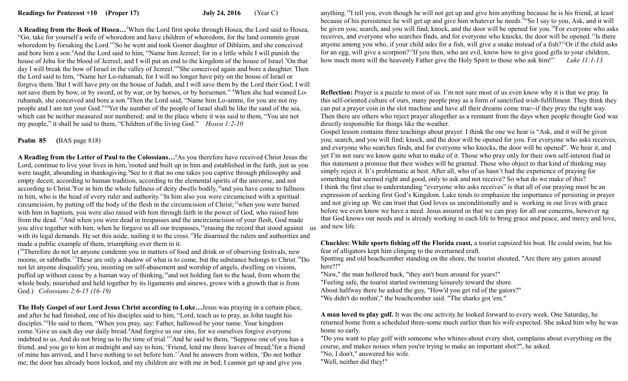**A Reading from the Book of Hosea…**<sup>2</sup>When the Lord first spoke through Hosea, the Lord said to Hosea, "Go, take for yourself a wife of whoredom and have children of whoredom, for the land commits great whoredom by forsaking the Lord."<sup>3</sup>So he went and took Gomer daughter of Diblaim, and she conceived and bore him a son.<sup>4</sup>And the Lord said to him, "Name him Jezreel; for in a little while I will punish the house of Jehu for the blood of Jezreel, and I will put an end to the kingdom of the house of Israel.<sup>5</sup>On that day I will break the bow of Israel in the valley of Jezreel."<sup>6</sup>She conceived again and bore a daughter. Then the Lord said to him, "Name her Lo-ruhamah, for I will no longer have pity on the house of Israel or forgive them.<sup>7</sup>But I will have pity on the house of Judah, and I will save them by the Lord their God; I will not save them by bow, or by sword, or by war, or by horses, or by horsemen." 8When she had weaned Loruhamah, she conceived and bore a son.<sup>9</sup>Then the Lord said, "Name him Lo-ammi, for you are not my people and I am not your God."<sup>10</sup>Yet the number of the people of Israel shall be like the sand of the sea, which can be neither measured nor numbered; and in the place where it was said to them, "You are not my people," it shall be said to them, "Children of the living God." *Hosea 1:2-10* 

### **Psalm 85 (**BAS page 818)

**A Reading from the Letter of Paul to the Colossians…**<sup>6</sup>As you therefore have received Christ Jesus the Lord, continue to live your lives in him, rooted and built up in him and established in the faith, just as you were taught, abounding in thanksgiving.<sup>8</sup>See to it that no one takes you captive through philosophy and empty deceit, according to human tradition, according to the elemental spirits of the universe, and not according to Christ.<sup>9</sup>For in him the whole fullness of deity dwells bodily,<sup>10</sup>and you have come to fullness in him, who is the head of every ruler and authority.<sup>11</sup>In him also you were circumcised with a spiritual circumcision, by putting off the body of the flesh in the circumcision of Christ;<sup>12</sup>when you were buried with him in baptism, you were also raised with him through faith in the power of God, who raised him from the dead. <sup>13</sup>And when you were dead in trespasses and the uncircumcision of your flesh, God made you alive together with him, when he forgave us all our trespasses,<sup>14</sup>erasing the record that stood against with its legal demands. He set this aside, nailing it to the cross.<sup>15</sup>He disarmed the rulers and authorities and made a public example of them, triumphing over them in it.

(<sup>16</sup>Therefore do not let anyone condemn you in matters of food and drink or of observing festivals, new moons, or sabbaths.<sup>17</sup>These are only a shadow of what is to come, but the substance belongs to Christ.<sup>18</sup>Do not let anyone disqualify you, insisting on self-abasement and worship of angels, dwelling on visions, puffed up without cause by a human way of thinking,<sup>19</sup>and not holding fast to the head, from whom the whole body, nourished and held together by its ligaments and sinews, grows with a growth that is from God.) *Colossians 2:6-15 (16-19)*

**The Holy Gospel of our Lord Jesus Christ according to Luke…**Jesus was praying in a certain place, and after he had finished, one of his disciples said to him, "Lord, teach us to pray, as John taught his disciples."<sup>2</sup>He said to them, "When you pray, say: Father, hallowed be your name. Your kingdom come.<sup>3</sup>Give us each day our daily bread.<sup>4</sup>And forgive us our sins, for we ourselves forgive everyone indebted to us. And do not bring us to the time of trial."<sup>5</sup>And he said to them, "Suppose one of you has a friend, and you go to him at midnight and say to him, 'Friend, lend me three loaves of bread; for a friend of mine has arrived, and I have nothing to set before him.'<sup>7</sup>And he answers from within, 'Do not bother me; the door has already been locked, and my children are with me in bed; I cannot get up and give you

anything.'<sup>8</sup> I tell you, even though he will not get up and give him anything because he is his friend, at least because of his persistence he will get up and give him whatever he needs.<sup>94</sup>So I say to you, Ask, and it will be given you; search, and you will find; knock, and the door will be opened for you.<sup>10</sup>For everyone who asks receives, and everyone who searches finds, and for everyone who knocks, the door will be opened.<sup>11</sup>Is there anyone among you who, if your child asks for a fish, will give a snake instead of a fish?<sup>12</sup>Or if the child asks for an egg, will give a scorpion?<sup>13</sup>If you then, who are evil, know how to give good gifts to your children, how much more will the heavenly Father give the Holy Spirit to those who ask him!" *Luke 11:1-13*

**Reflection:** Prayer is a puzzle to most of us. I'm not sure most of us even know why it is that we pray. In this self-oriented culture of ours, many people pray as a form of sanctified wish-fulfillment. They think they can put a prayer coin in the slot machine and have all their dreams come true--if they pray the right way. Then there are others who reject prayer altogether as a remnant from the days when people thought God was directly responsible for things like the weather.

Gospel lesson contains three teachings about prayer. I think the one we hear is "Ask, and it will be given you; search, and you will find; knock, and the door will be opened for you. For everyone who asks receives, and everyone who searches finds, and for everyone who knocks, the door will be opened". We hear it, and yet I'm not sure we know quite what to make of it. Those who pray only for their own self-interest find in this statement a promise that their wishes will be granted. Those who object to that kind of thinking may simply reject it. It's problematic at best. After all, who of us hasn't had the experience of praying for something that seemed right and good, only to ask and not receive? So what do we make of this? I think the first clue to understanding "everyone who asks receives" is that all of our praying must be an expression of seeking first God's Kingdom. Luke tends to emphasize the importance of persisting in prayer and not giving up. We can trust that God loves us unconditionally and is working in our lives with grace before we even know we have a need. Jesus assured us that we can pray for all our concerns, however ng that God knows our needs and is already working in each life to bring grace and peace, and mercy and love, us and new life.

**Chuckles: While sports fishing off the Florida coast,** a tourist capsized his boat. He could swim, but his fear of alligators kept him clinging to the overturned craft.

Spotting and old beachcomber standing on the shore, the tourist shouted, "Are there any gators around here?!"

"Naw," the man hollered back, "they ain't been around for years!"

"Feeling safe, the tourist started swimming leisurely toward the shore.

About halfway there he asked the guy, "How'd you get rid of the gators?"

"We didn't do nothin'," the beachcomber said. "The sharks got 'em."

**A man loved to play golf.** It was the one activity he looked forward to every week. One Saturday, he returned home from a scheduled three-some much earlier than his wife expected. She asked him why he was home so early.

"Do you want to play golf with someone who whines about every shot, complains about everything on the course, and makes noises when you're trying to make an important shot?", he asked.

"No, I don't," answered his wife.

"Well, neither did they!"